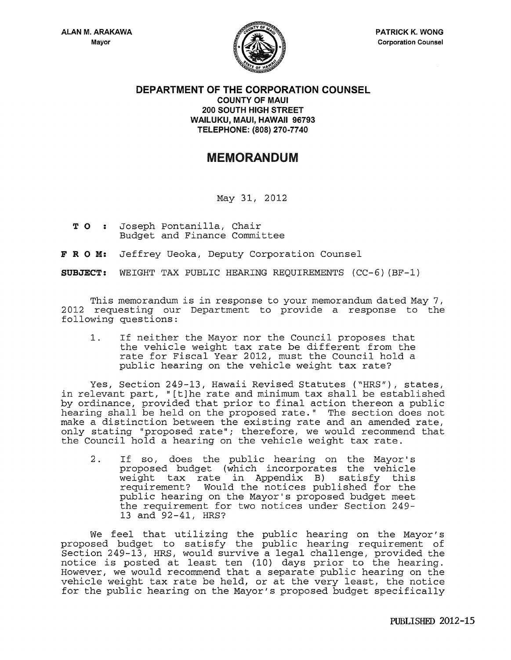

## **DEPARTMENT OF THE CORPORATION COUNSEL COUNTY OF MAUl 200 SOUTH HIGH STREET WAILUKU, MAUl, HAWAII 96793 TELEPHONE: (808) 270-7740**

## MEMORANDUM

May 31, 2012

- **T 0** . . Joseph Fontanilla, Chair Budget and Finance Committee
- **F R 0 M:** Jeffrey Ueoka, Deputy Corporation Counsel

**SUBJECT:** WEIGHT TAX PUBLIC HEARING REQUIREMENTS (CC-6) (BF-1)

This memorandum is in response to your memorandum dated May 7, 2012 requesting our Department to provide a response to the following questions:

1. If neither the Mayor nor the Council proposes that the vehicle weight tax rate be different from the rate for Fiscal Year 2012, must the Council hold a public hearing on the vehicle weight tax rate?

Yes, Section 249-13, Hawaii Revised Statutes ("HRS"), states, in relevant part, "[t]he rate and minimum tax shall be established by ordinance, provided that prior to final action thereon a public hearing shall be held on the proposed rate." The section does not make a distinction between the existing rate and an amended rate, only stating "proposed rate"; therefore, we would recommend that the Council hold a hearing on the vehicle weight tax rate.

2. If so, does the public hearing on the Mayor's proposed budget (which incorporates the vehicle weight tax rate in Appendix B) satisfy this requirement? Would the notices published for the public hearing on the Mayor's proposed budget meet the requirement for two notices under Section 249- 13 and 92-41, HRS?

We feel that utilizing the public hearing on the Mayor's proposed budget to satisfy the public hearing requirement of Section 249-13, HRS, would survive a legal challenge, provided the notice is posted at least ten ( 10) days prior to the hearing. However, we would recommend that a separate public hearing on the vehicle weight tax rate be held, or at the very least, the notice for the public hearing on the Mayor's proposed budget specifically